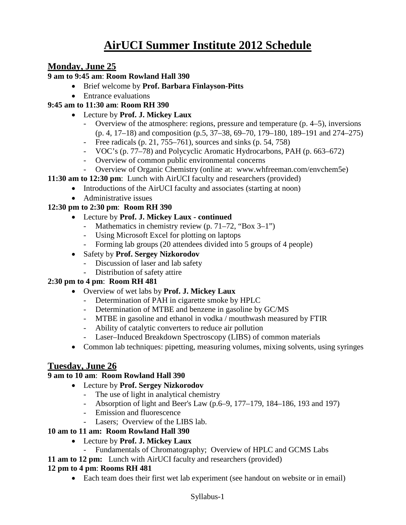# **AirUCI Summer Institute 2012 Schedule**

# **Monday, June 25**

#### **9 am to 9:45 am**: **Room Rowland Hall 390**

- Brief welcome by **Prof. Barbara Finlayson-Pitts**
- Entrance evaluations

# **9:45 am to 11:30 am**: **Room RH 390**

- Lecture by **Prof. J. Mickey Laux**
	- Overview of the atmosphere: regions, pressure and temperature (p. 4–5), inversions (p. 4, 17–18) and composition (p.5, 37–38, 69–70, 179–180, 189–191 and 274–275)
	- Free radicals (p. 21,  $755-761$ ), sources and sinks (p. 54, 758)
	- VOC's (p. 77–78) and Polycyclic Aromatic Hydrocarbons, PAH (p. 663–672)
	- Overview of common public environmental concerns
	- Overview of Organic Chemistry (online at: www.whfreeman.com/envchem5e)

#### **11:30 am to 12:30 pm**: Lunch with AirUCI faculty and researchers (provided)

- Introductions of the AirUCI faculty and associates (starting at noon)
- Administrative issues

### **12:30 pm to 2:30 pm**: **Room RH 390**

### • Lecture by **Prof. J. Mickey Laux - continued**

- Mathematics in chemistry review (p. 71–72, "Box 3–1")
- Using Microsoft Excel for plotting on laptops
- Forming lab groups (20 attendees divided into 5 groups of 4 people)
- Safety by **Prof. Sergey Nizkorodov**
	- Discussion of laser and lab safety
	- Distribution of safety attire

# **2:30 pm to 4 pm**: **Room RH 481**

- Overview of wet labs by **Prof. J. Mickey Laux**
	- Determination of PAH in cigarette smoke by HPLC
	- Determination of MTBE and benzene in gasoline by GC/MS
	- MTBE in gasoline and ethanol in vodka / mouthwash measured by FTIR
	- Ability of catalytic converters to reduce air pollution
	- Laser–Induced Breakdown Spectroscopy (LIBS) of common materials
- Common lab techniques: pipetting, measuring volumes, mixing solvents, using syringes

# **Tuesday, June 26**

#### **9 am to 10 am**: **Room Rowland Hall 390**

- Lecture by **Prof. Sergey Nizkorodov**
	- The use of light in analytical chemistry
	- Absorption of light and Beer's Law (p.6–9, 177–179, 184–186, 193 and 197)
	- Emission and fluorescence
	- Lasers; Overview of the LIBS lab.

# **10 am to 11 am: Room Rowland Hall 390**

- Lecture by **Prof. J. Mickey Laux** 
	- Fundamentals of Chromatography; Overview of HPLC and GCMS Labs
- **11 am to 12 pm:** Lunch with AirUCI faculty and researchers (provided)

#### **12 pm to 4 pm**: **Rooms RH 481**

• Each team does their first wet lab experiment (see handout on website or in email)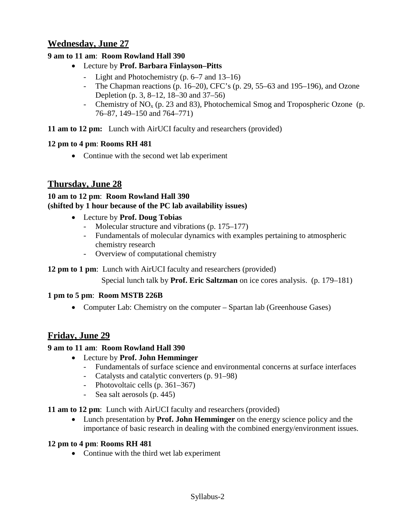# **Wednesday, June 27**

### **9 am to 11 am**: **Room Rowland Hall 390**

- Lecture by **Prof. Barbara Finlayson–Pitts**
	- Light and Photochemistry (p. 6–7 and 13–16)
	- The Chapman reactions (p. 16–20), CFC's (p. 29, 55–63 and 195–196), and Ozone Depletion (p. 3, 8–12, 18–30 and 37–56)
	- Chemistry of  $NO<sub>x</sub>$  (p. 23 and 83), Photochemical Smog and Tropospheric Ozone (p. 76–87, 149–150 and 764–771)

**11 am to 12 pm:** Lunch with AirUCI faculty and researchers (provided)

### **12 pm to 4 pm**: **Rooms RH 481**

• Continue with the second wet lab experiment

# **Thursday, June 28**

### **10 am to 12 pm**: **Room Rowland Hall 390 (shifted by 1 hour because of the PC lab availability issues)**

- Lecture by **Prof. Doug Tobias**
	- Molecular structure and vibrations (p. 175–177)
	- Fundamentals of molecular dynamics with examples pertaining to atmospheric chemistry research
	- Overview of computational chemistry

# **12 pm to 1 pm**: Lunch with AirUCI faculty and researchers (provided)

Special lunch talk by **Prof. Eric Saltzman** on ice cores analysis. (p. 179–181)

# **1 pm to 5 pm**: **Room MSTB 226B**

• Computer Lab: Chemistry on the computer – Spartan lab (Greenhouse Gases)

# **Friday, June 29**

#### **9 am to 11 am**: **Room Rowland Hall 390**

- Lecture by **Prof. John Hemminger**
	- Fundamentals of surface science and environmental concerns at surface interfaces
	- Catalysts and catalytic converters (p. 91–98)
	- Photovoltaic cells (p. 361–367)
	- Sea salt aerosols (p. 445)

#### **11 am to 12 pm**: Lunch with AirUCI faculty and researchers (provided)

• Lunch presentation by **Prof. John Hemminger** on the energy science policy and the importance of basic research in dealing with the combined energy/environment issues.

#### **12 pm to 4 pm**: **Rooms RH 481**

• Continue with the third wet lab experiment